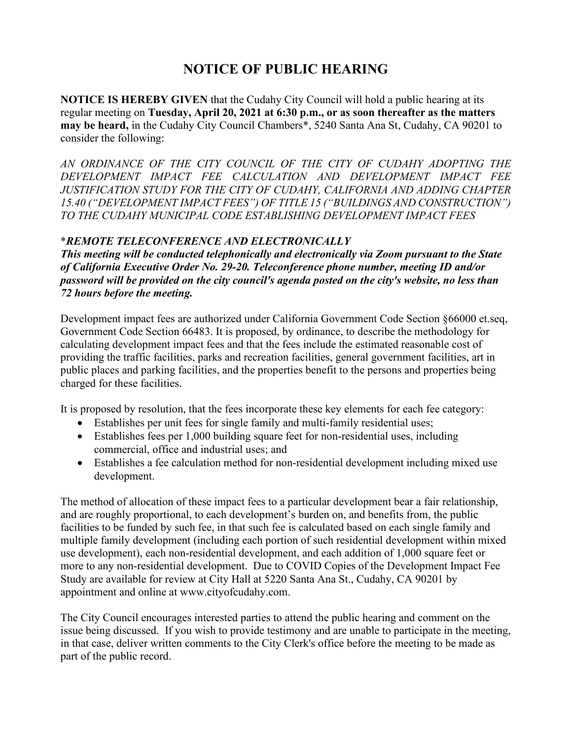## **NOTICE OF PUBLIC HEARING**

**NOTICE IS HEREBY GIVEN** that the Cudahy City Council will hold a public hearing at its regular meeting on **Tuesday, April 20, 2021 at 6:30 p.m., or as soon thereafter as the matters may be heard,** in the Cudahy City Council Chambers\*, 5240 Santa Ana St, Cudahy, CA 90201 to consider the following:

*AN ORDINANCE OF THE CITY COUNCIL OF THE CITY OF CUDAHY ADOPTING THE DEVELOPMENT IMPACT FEE CALCULATION AND DEVELOPMENT IMPACT FEE JUSTIFICATION STUDY FOR THE CITY OF CUDAHY, CALIFORNIA AND ADDING CHAPTER 15.40 ("DEVELOPMENT IMPACT FEES") OF TITLE 15 ("BUILDINGS AND CONSTRUCTION") TO THE CUDAHY MUNICIPAL CODE ESTABLISHING DEVELOPMENT IMPACT FEES*

## \**REMOTE TELECONFERENCE AND ELECTRONICALLY*

*This meeting will be conducted telephonically and electronically via Zoom pursuant to the State of California Executive Order No. 29-20. Teleconference phone number, meeting ID and/or password will be provided on the city council's agenda posted on the city's website, no less than 72 hours before the meeting.*

Development impact fees are authorized under California Government Code Section §66000 et.seq, Government Code Section 66483. It is proposed, by ordinance, to describe the methodology for calculating development impact fees and that the fees include the estimated reasonable cost of providing the traffic facilities, parks and recreation facilities, general government facilities, art in public places and parking facilities, and the properties benefit to the persons and properties being charged for these facilities.

It is proposed by resolution, that the fees incorporate these key elements for each fee category:

- Establishes per unit fees for single family and multi-family residential uses;
- Establishes fees per 1,000 building square feet for non-residential uses, including commercial, office and industrial uses; and
- Establishes a fee calculation method for non-residential development including mixed use development.

The method of allocation of these impact fees to a particular development bear a fair relationship, and are roughly proportional, to each development's burden on, and benefits from, the public facilities to be funded by such fee, in that such fee is calculated based on each single family and multiple family development (including each portion of such residential development within mixed use development), each non-residential development, and each addition of 1,000 square feet or more to any non-residential development. Due to COVID Copies of the Development Impact Fee Study are available for review at City Hall at 5220 Santa Ana St., Cudahy, CA 90201 by appointment and online at www.cityofcudahy.com.

The City Council encourages interested parties to attend the public hearing and comment on the issue being discussed. If you wish to provide testimony and are unable to participate in the meeting, in that case, deliver written comments to the City Clerk's office before the meeting to be made as part of the public record.